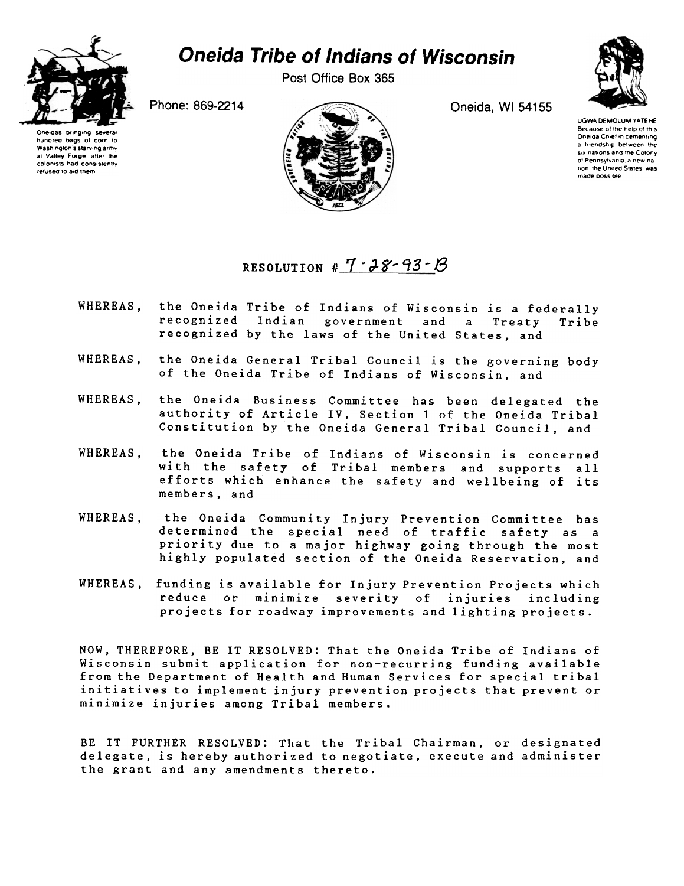

## **Oneida Tribe of Indians of Wisconsin**

Post Office Box 365

Phone: 869-2214

Oneidas bringing hundred bags of corn to Washington's starving army at Valley Forge, after the colonists had consistently refused to aid them



Oneida, WI 54155

**UGWA DEMOLUM YATEHE** Because of the help of this Oneida Chief in cementing a friendship between the six nations and the Colony of Pennsylvania a new nation, the United States, was made possible

RESOLUTION #  $7 - 28 - 93 - 18$ 

- the Oneida Tribe of Indians of Wisconsin is a federally WHEREAS. recognized Indian government and  $\overline{a}$ Treaty Tribe recognized by the laws of the United States, and
- the Oneida General Tribal Council is the governing body WHEREAS, of the Oneida Tribe of Indians of Wisconsin, and
- WHEREAS, the Oneida Business Committee has been delegated the authority of Article IV, Section 1 of the Oneida Tribal Constitution by the Oneida General Tribal Council, and
- WHEREAS. the Oneida Tribe of Indians of Wisconsin is concerned with the safety of Tribal members and supports all efforts which enhance the safety and wellbeing of its members, and
- WHEREAS, the Oneida Community Injury Prevention Committee has determined the special need of traffic safety as a priority due to a major highway going through the most highly populated section of the Oneida Reservation, and
- WHEREAS. funding is available for Injury Prevention Projects which reduce or minimize severity of injuries including projects for roadway improvements and lighting projects.

NOW, THEREFORE, BE IT RESOLVED: That the Oneida Tribe of Indians of Wisconsin submit application for non-recurring funding available from the Department of Health and Human Services for special tribal initiatives to implement injury prevention projects that prevent or minimize injuries among Tribal members.

BE IT FURTHER RESOLVED: That the Tribal Chairman, or designated delegate, is hereby authorized to negotiate, execute and administer the grant and any amendments thereto.